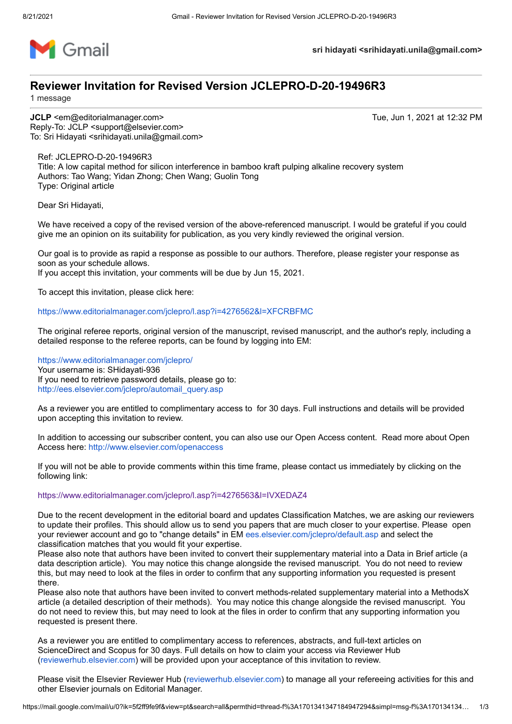

**sri hidayati <srihidayati.unila@gmail.com>**

# **Reviewer Invitation for Revised Version JCLEPRO-D-20-19496R3**

1 message

**JCLP** <em@editorialmanager.com> Tue, Jun 1, 2021 at 12:32 PM Reply-To: JCLP <support@elsevier.com> To: Sri Hidayati <srihidayati.unila@gmail.com>

Ref: JCLEPRO-D-20-19496R3 Title: A low capital method for silicon interference in bamboo kraft pulping alkaline recovery system Authors: Tao Wang; Yidan Zhong; Chen Wang; Guolin Tong Type: Original article

Dear Sri Hidayati,

We have received a copy of the revised version of the above-referenced manuscript. I would be grateful if you could give me an opinion on its suitability for publication, as you very kindly reviewed the original version.

Our goal is to provide as rapid a response as possible to our authors. Therefore, please register your response as soon as your schedule allows.

If you accept this invitation, your comments will be due by Jun 15, 2021.

To accept this invitation, please click here:

<https://www.editorialmanager.com/jclepro/l.asp?i=4276562&l=XFCRBFMC>

The original referee reports, original version of the manuscript, revised manuscript, and the author's reply, including a detailed response to the referee reports, can be found by logging into EM:

<https://www.editorialmanager.com/jclepro/> Your username is: SHidayati-936 If you need to retrieve password details, please go to: [http://ees.elsevier.com/jclepro/automail\\_query.asp](http://ees.elsevier.com/jclepro/automail_query.asp)

As a reviewer you are entitled to complimentary access to for 30 days. Full instructions and details will be provided upon accepting this invitation to review.

In addition to accessing our subscriber content, you can also use our Open Access content. Read more about Open Access here:<http://www.elsevier.com/openaccess>

If you will not be able to provide comments within this time frame, please contact us immediately by clicking on the following link:

# <https://www.editorialmanager.com/jclepro/l.asp?i=4276563&l=IVXEDAZ4>

Due to the recent development in the editorial board and updates Classification Matches, we are asking our reviewers to update their profiles. This should allow us to send you papers that are much closer to your expertise. Please open your reviewer account and go to "change details" in EM [ees.elsevier.com/jclepro/default.asp](http://ees.elsevier.com/jclepro/default.asp) and select the classification matches that you would fit your expertise.

Please also note that authors have been invited to convert their supplementary material into a Data in Brief article (a data description article). You may notice this change alongside the revised manuscript. You do not need to review this, but may need to look at the files in order to confirm that any supporting information you requested is present there.

Please also note that authors have been invited to convert methods-related supplementary material into a MethodsX article (a detailed description of their methods). You may notice this change alongside the revised manuscript. You do not need to review this, but may need to look at the files in order to confirm that any supporting information you requested is present there.

As a reviewer you are entitled to complimentary access to references, abstracts, and full-text articles on ScienceDirect and Scopus for 30 days. Full details on how to claim your access via Reviewer Hub [\(reviewerhub.elsevier.com](http://reviewerhub.elsevier.com/)) will be provided upon your acceptance of this invitation to review.

Please visit the Elsevier Reviewer Hub ([reviewerhub.elsevier.com\)](http://reviewerhub.elsevier.com/) to manage all your refereeing activities for this and other Elsevier journals on Editorial Manager.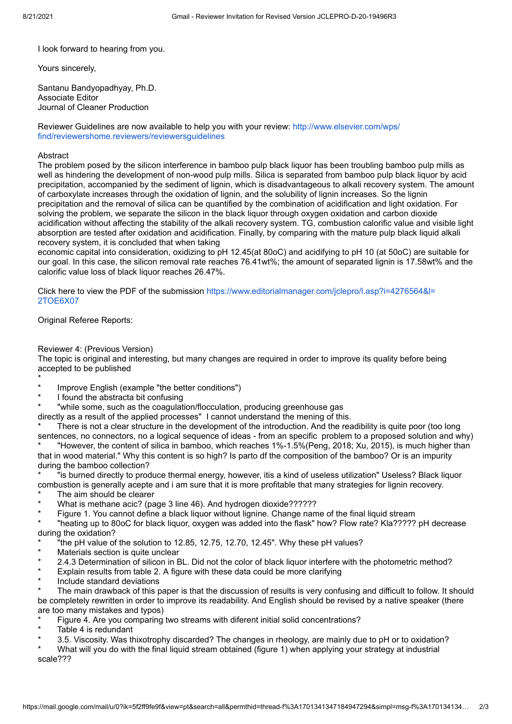I look forward to hearing from you.

Yours sincerely,

Santanu Bandyopadhyay, Ph.D. Associate Editor Journal of Cleaner Production

[Reviewer Guidelines are now available to help you with your review: http://www.elsevier.com/wps/](http://www.elsevier.com/wps/find/reviewershome.reviewers/reviewersguidelines) find/reviewershome.reviewers/reviewersguidelines

#### Abstract

The problem posed by the silicon interference in bamboo pulp black liquor has been troubling bamboo pulp mills as well as hindering the development of non-wood pulp mills. Silica is separated from bamboo pulp black liquor by acid precipitation, accompanied by the sediment of lignin, which is disadvantageous to alkali recovery system. The amount of carboxylate increases through the oxidation of lignin, and the solubility of lignin increases. So the lignin precipitation and the removal of silica can be quantified by the combination of acidification and light oxidation. For solving the problem, we separate the silicon in the black liquor through oxygen oxidation and carbon dioxide acidification without affecting the stability of the alkali recovery system. TG, combustion calorific value and visible light absorption are tested after oxidation and acidification. Finally, by comparing with the mature pulp black liquid alkali recovery system, it is concluded that when taking

economic capital into consideration, oxidizing to pH 12.45(at 80oC) and acidifying to pH 10 (at 50oC) are suitable for our goal. In this case, the silicon removal rate reaches 76.41wt%; the amount of separated lignin is 17.58wt% and the calorific value loss of black liquor reaches 26.47%.

[Click here to view the PDF of the submission https://www.editorialmanager.com/jclepro/l.asp?i=4276564&l=](https://www.editorialmanager.com/jclepro/l.asp?i=4276564&l=2TOE6X07) 2TOE6X07

## Original Referee Reports:

## Reviewer 4: (Previous Version)

The topic is original and interesting, but many changes are required in order to improve its quality before being accepted to be published

\*

- Improve English (example "the better conditions")
- I found the abstracta bit confusing

"while some, such as the coagulation/flocculation, producing greenhouse gas

directly as a result of the applied processes" I cannot understand the mening of this.

There is not a clear structure in the development of the introduction. And the readibility is quite poor (too long sentences, no connectors, no a logical sequence of ideas - from an specific problem to a proposed solution and why) \* "However, the content of silica in bamboo, which reaches 1%-1.5%(Peng, 2018; Xu, 2015), is much higher than

that in wood material." Why this content is so high? Is parto df the composition of the bamboo? Or is an impurity during the bamboo collection?

\* "is burned directly to produce thermal energy, however, itis a kind of useless utilization" Useless? Black liquor combustion is generally acepte and i am sure that it is more profitable that many strategies for lignin recovery.

- The aim should be clearer
- What is methane acic? (page 3 line 46). And hydrogen dioxide??????
- Figure 1. You cannot define a black liquor without lignine. Change name of the final liquid stream

\* "heating up to 80oC for black liquor, oxygen was added into the flask" how? Flow rate? Kla????? pH decrease during the oxidation?

- "the pH value of the solution to  $12.85$ ,  $12.75$ ,  $12.70$ ,  $12.45$ ". Why these pH values?
- Materials section is quite unclear
- 2.4.3 Determination of silicon in BL. Did not the color of black liquor interfere with the photometric method?
- Explain results from table 2. A figure with these data could be more clarifying
- Include standard deviations

The main drawback of this paper is that the discussion of results is very confusing and difficult to follow. It should be completely rewritten in order to improve its readability. And English should be revised by a native speaker (there are too many mistakes and typos)

- Figure 4. Are you comparing two streams with diferent initial solid concentrations?
- Table 4 is redundant
- 3.5. Viscosity. Was thixotrophy discarded? The changes in rheology, are mainly due to pH or to oxidation?

What will you do with the final liquid stream obtained (figure 1) when applying your strategy at industrial scale???